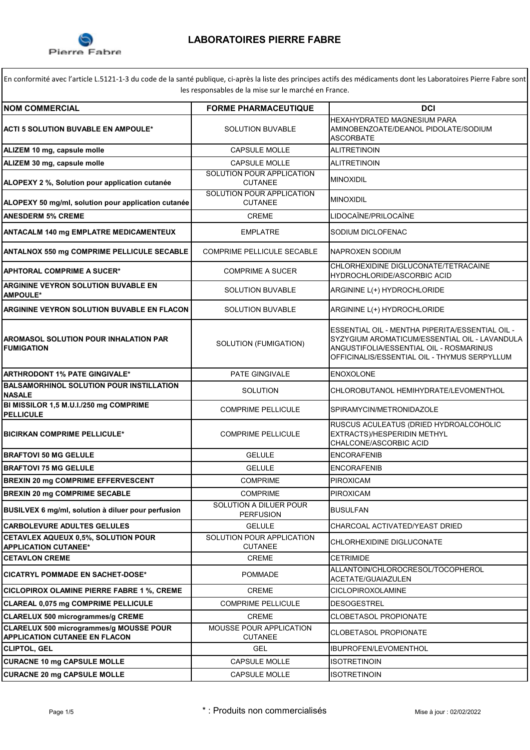En conformité avec l'article L.5121‐1‐3 du code de la santé publique, ci‐après la liste des principes actifs des médicaments dont les Laboratoires Pierre Fabre sont les responsables de la mise sur le marché en France.

| <b>NOM COMMERCIAL</b>                                                                  | <b>FORME PHARMACEUTIQUE</b>                 | <b>DCI</b>                                                                                                                                                                                  |
|----------------------------------------------------------------------------------------|---------------------------------------------|---------------------------------------------------------------------------------------------------------------------------------------------------------------------------------------------|
| <b>ACTI 5 SOLUTION BUVABLE EN AMPOULE*</b>                                             | <b>SOLUTION BUVABLE</b>                     | <b>HEXAHYDRATED MAGNESIUM PARA</b><br>AMINOBENZOATE/DEANOL PIDOLATE/SODIUM<br><b>ASCORBATE</b>                                                                                              |
| ALIZEM 10 mg, capsule molle                                                            | <b>CAPSULE MOLLE</b>                        | <b>ALITRETINOIN</b>                                                                                                                                                                         |
| ALIZEM 30 mg, capsule molle                                                            | <b>CAPSULE MOLLE</b>                        | <b>ALITRETINOIN</b>                                                                                                                                                                         |
| ALOPEXY 2 %, Solution pour application cutanée                                         | SOLUTION POUR APPLICATION<br><b>CUTANEE</b> | <b>MINOXIDIL</b>                                                                                                                                                                            |
| ALOPEXY 50 mg/ml, solution pour application cutanée                                    | SOLUTION POUR APPLICATION<br><b>CUTANEE</b> | <b>MINOXIDIL</b>                                                                                                                                                                            |
| <b>ANESDERM 5% CREME</b>                                                               | <b>CREME</b>                                | LIDOCAÏNE/PRILOCAÏNE                                                                                                                                                                        |
| <b>ANTACALM 140 mg EMPLATRE MEDICAMENTEUX</b>                                          | <b>EMPLATRE</b>                             | SODIUM DICLOFENAC                                                                                                                                                                           |
| ANTALNOX 550 mg COMPRIME PELLICULE SECABLE                                             | <b>COMPRIME PELLICULE SECABLE</b>           | NAPROXEN SODIUM                                                                                                                                                                             |
| <b>APHTORAL COMPRIME A SUCER*</b>                                                      | <b>COMPRIME A SUCER</b>                     | CHLORHEXIDINE DIGLUCONATE/TETRACAINE<br>HYDROCHLORIDE/ASCORBIC ACID                                                                                                                         |
| ARGININE VEYRON SOLUTION BUVABLE EN<br><b>AMPOULE*</b>                                 | <b>SOLUTION BUVABLE</b>                     | ARGININE L(+) HYDROCHLORIDE                                                                                                                                                                 |
| <b>ARGININE VEYRON SOLUTION BUVABLE EN FLACON</b>                                      | <b>SOLUTION BUVABLE</b>                     | ARGININE L(+) HYDROCHLORIDE                                                                                                                                                                 |
| <b>AROMASOL SOLUTION POUR INHALATION PAR</b><br><b>FUMIGATION</b>                      | SOLUTION (FUMIGATION)                       | ESSENTIAL OIL - MENTHA PIPERITA/ESSENTIAL OIL -<br>SYZYGIUM AROMATICUM/ESSENTIAL OIL - LAVANDULA<br>ANGUSTIFOLIA/ESSENTIAL OIL - ROSMARINUS<br>OFFICINALIS/ESSENTIAL OIL - THYMUS SERPYLLUM |
| <b>ARTHRODONT 1% PATE GINGIVALE*</b>                                                   | <b>PATE GINGIVALE</b>                       | <b>ENOXOLONE</b>                                                                                                                                                                            |
| <b>BALSAMORHINOL SOLUTION POUR INSTILLATION</b><br><b>NASALE</b>                       | <b>SOLUTION</b>                             | CHLOROBUTANOL HEMIHYDRATE/LEVOMENTHOL                                                                                                                                                       |
| BI MISSILOR 1,5 M.U.I./250 mg COMPRIME<br><b>PELLICULE</b>                             | <b>COMPRIME PELLICULE</b>                   | SPIRAMYCIN/METRONIDAZOLE                                                                                                                                                                    |
| <b>BICIRKAN COMPRIME PELLICULE*</b>                                                    | <b>COMPRIME PELLICULE</b>                   | RUSCUS ACULEATUS (DRIED HYDROALCOHOLIC<br>EXTRACTS)/HESPERIDIN METHYL<br>CHALCONE/ASCORBIC ACID                                                                                             |
| <b>BRAFTOVI 50 MG GELULE</b>                                                           | <b>GELULE</b>                               | <b>ENCORAFENIB</b>                                                                                                                                                                          |
| <b>BRAFTOVI 75 MG GELULE</b>                                                           | <b>GELULE</b>                               | <b>ENCORAFENIB</b>                                                                                                                                                                          |
| BREXIN 20 mg COMPRIME EFFERVESCENT                                                     | <b>COMPRIME</b>                             | <b>PIROXICAM</b>                                                                                                                                                                            |
| <b>BREXIN 20 mg COMPRIME SECABLE</b>                                                   | <b>COMPRIME</b>                             | <b>PIROXICAM</b>                                                                                                                                                                            |
| BUSILVEX 6 mg/ml, solution à diluer pour perfusion                                     | SOLUTION A DILUER POUR<br><b>PERFUSION</b>  | <b>BUSULFAN</b>                                                                                                                                                                             |
| <b>CARBOLEVURE ADULTES GELULES</b>                                                     | <b>GELULE</b>                               | CHARCOAL ACTIVATED/YEAST DRIED                                                                                                                                                              |
| <b>CETAVLEX AQUEUX 0,5%, SOLUTION POUR</b><br><b>APPLICATION CUTANEE*</b>              | SOLUTION POUR APPLICATION<br><b>CUTANEE</b> | CHLORHEXIDINE DIGLUCONATE                                                                                                                                                                   |
| <b>CETAVLON CREME</b>                                                                  | <b>CREME</b>                                | <b>CETRIMIDE</b>                                                                                                                                                                            |
| <b>CICATRYL POMMADE EN SACHET-DOSE*</b>                                                | <b>POMMADE</b>                              | ALLANTOIN/CHLOROCRESOL/TOCOPHEROL<br>ACETATE/GUAIAZULEN                                                                                                                                     |
| <b>CICLOPIROX OLAMINE PIERRE FABRE 1 %, CREME</b>                                      | <b>CREME</b>                                | <b>CICLOPIROXOLAMINE</b>                                                                                                                                                                    |
| CLAREAL 0,075 mg COMPRIME PELLICULE                                                    | <b>COMPRIME PELLICULE</b>                   | <b>DESOGESTREL</b>                                                                                                                                                                          |
| <b>CLARELUX 500 microgrammes/g CREME</b>                                               | <b>CREME</b>                                | CLOBETASOL PROPIONATE                                                                                                                                                                       |
| <b>CLARELUX 500 microgrammes/g MOUSSE POUR</b><br><b>APPLICATION CUTANEE EN FLACON</b> | MOUSSE POUR APPLICATION<br><b>CUTANEE</b>   | <b>CLOBETASOL PROPIONATE</b>                                                                                                                                                                |
| <b>CLIPTOL, GEL</b>                                                                    | <b>GEL</b>                                  | <b>IBUPROFEN/LEVOMENTHOL</b>                                                                                                                                                                |
| <b>CURACNE 10 mg CAPSULE MOLLE</b>                                                     | <b>CAPSULE MOLLE</b>                        | ISOTRETINOIN                                                                                                                                                                                |
| <b>CURACNE 20 mg CAPSULE MOLLE</b>                                                     | CAPSULE MOLLE                               | <b>ISOTRETINOIN</b>                                                                                                                                                                         |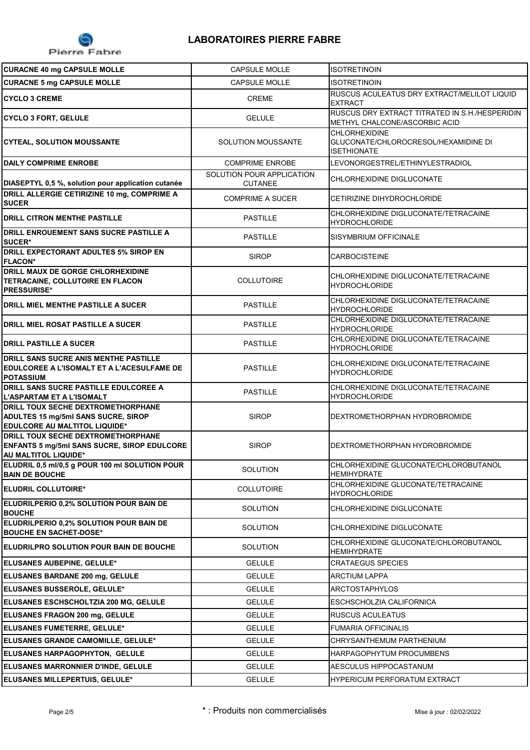

| CURACNE 40 mg CAPSULE MOLLE                                                                                              | <b>CAPSULE MOLLE</b>                        | <b>ISOTRETINOIN</b>                                                                |
|--------------------------------------------------------------------------------------------------------------------------|---------------------------------------------|------------------------------------------------------------------------------------|
| <b>CURACNE 5 mg CAPSULE MOLLE</b>                                                                                        | <b>CAPSULE MOLLE</b>                        | <b>ISOTRETINOIN</b>                                                                |
| <b>CYCLO 3 CREME</b>                                                                                                     | <b>CREME</b>                                | RUSCUS ACULEATUS DRY EXTRACT/MELILOT LIQUID<br><b>EXTRACT</b>                      |
| <b>CYCLO 3 FORT, GELULE</b>                                                                                              | <b>GELULE</b>                               | RUSCUS DRY EXTRACT TITRATED IN S.H./HESPERIDIN<br>METHYL CHALCONE/ASCORBIC ACID    |
| <b>CYTEAL, SOLUTION MOUSSANTE</b>                                                                                        | SOLUTION MOUSSANTE                          | <b>CHLORHEXIDINE</b><br>GLUCONATE/CHLOROCRESOL/HEXAMIDINE DI<br><b>ISETHIONATE</b> |
| <b>DAILY COMPRIME ENROBE</b>                                                                                             | <b>COMPRIME ENROBE</b>                      | LEVONORGESTREL/ETHINYLESTRADIOL                                                    |
| DIASEPTYL 0,5 %, solution pour application cutanée                                                                       | SOLUTION POUR APPLICATION<br><b>CUTANEE</b> | CHLORHEXIDINE DIGLUCONATE                                                          |
| DRILL ALLERGIE CETIRIZINE 10 mg, COMPRIME A<br><b>SUCER</b>                                                              | <b>COMPRIME A SUCER</b>                     | <b>CETIRIZINE DIHYDROCHLORIDE</b>                                                  |
| <b>DRILL CITRON MENTHE PASTILLE</b>                                                                                      | <b>PASTILLE</b>                             | CHLORHEXIDINE DIGLUCONATE/TETRACAINE<br><b>HYDROCHLORIDE</b>                       |
| DRILL ENROUEMENT SANS SUCRE PASTILLE A<br><b>SUCER*</b>                                                                  | <b>PASTILLE</b>                             | <b>SISYMBRIUM OFFICINALE</b>                                                       |
| <b>DRILL EXPECTORANT ADULTES 5% SIROP EN</b><br><b>FLACON*</b>                                                           | <b>SIROP</b>                                | <b>CARBOCISTEINE</b>                                                               |
| DRILL MAUX DE GORGE CHLORHEXIDINE<br><b>TETRACAINE, COLLUTOIRE EN FLACON</b><br><b>PRESSURISE*</b>                       | <b>COLLUTOIRE</b>                           | CHLORHEXIDINE DIGLUCONATE/TETRACAINE<br><b>HYDROCHLORIDE</b>                       |
| <b>DRILL MIEL MENTHE PASTILLE A SUCER</b>                                                                                | <b>PASTILLE</b>                             | CHLORHEXIDINE DIGLUCONATE/TETRACAINE<br><b>HYDROCHLORIDE</b>                       |
| <b>DRILL MIEL ROSAT PASTILLE A SUCER</b>                                                                                 | <b>PASTILLE</b>                             | CHLORHEXIDINE DIGLUCONATE/TETRACAINE<br><b>HYDROCHLORIDE</b>                       |
| <b>DRILL PASTILLE A SUCER</b>                                                                                            | <b>PASTILLE</b>                             | CHLORHEXIDINE DIGLUCONATE/TETRACAINE<br><b>HYDROCHLORIDE</b>                       |
| DRILL SANS SUCRE ANIS MENTHE PASTILLE<br><b>EDULCOREE A L'ISOMALT ET A L'ACESULFAME DE</b><br><b>POTASSIUM</b>           | <b>PASTILLE</b>                             | CHLORHEXIDINE DIGLUCONATE/TETRACAINE<br><b>HYDROCHLORIDE</b>                       |
| <b>DRILL SANS SUCRE PASTILLE EDULCOREE A</b><br>L'ASPARTAM ET A L'ISOMALT                                                | <b>PASTILLE</b>                             | CHLORHEXIDINE DIGLUCONATE/TETRACAINE<br><b>HYDROCHLORIDE</b>                       |
| <b>DRILL TOUX SECHE DEXTROMETHORPHANE</b><br>ADULTES 15 mg/5ml SANS SUCRE, SIROP<br><b>EDULCORE AU MALTITOL LIQUIDE*</b> | <b>SIROP</b>                                | DEXTROMETHORPHAN HYDROBROMIDE                                                      |
| <b>DRILL TOUX SECHE DEXTROMETHORPHANE</b><br>ENFANTS 5 mg/5ml SANS SUCRE, SIROP EDULCORE<br><b>AU MALTITOL LIQUIDE*</b>  | <b>SIROP</b>                                | DEXTROMETHORPHAN HYDROBROMIDE                                                      |
| ELUDRIL 0,5 ml/0,5 g POUR 100 ml SOLUTION POUR<br><b>BAIN DE BOUCHE</b>                                                  | <b>SOLUTION</b>                             | CHLORHEXIDINE GLUCONATE/CHLOROBUTANOL<br><b>HEMIHYDRATE</b>                        |
| <b>ELUDRIL COLLUTOIRE*</b>                                                                                               | <b>COLLUTOIRE</b>                           | CHLORHEXIDINE GLUCONATE/TETRACAINE<br><b>HYDROCHLORIDE</b>                         |
| ELUDRILPERIO 0,2% SOLUTION POUR BAIN DE<br><b>BOUCHE</b>                                                                 | <b>SOLUTION</b>                             | CHLORHEXIDINE DIGLUCONATE                                                          |
| ELUDRILPERIO 0,2% SOLUTION POUR BAIN DE<br><b>BOUCHE EN SACHET-DOSE*</b>                                                 | <b>SOLUTION</b>                             | CHLORHEXIDINE DIGLUCONATE                                                          |
| <b>IELUDRILPRO SOLUTION POUR BAIN DE BOUCHE</b>                                                                          | <b>SOLUTION</b>                             | CHLORHEXIDINE GLUCONATE/CHLOROBUTANOL<br><b>HEMIHYDRATE</b>                        |
| ELUSANES AUBEPINE, GELULE*                                                                                               | <b>GELULE</b>                               | <b>CRATAEGUS SPECIES</b>                                                           |
| ELUSANES BARDANE 200 mg, GELULE                                                                                          | <b>GELULE</b>                               | <b>ARCTIUM LAPPA</b>                                                               |
| ELUSANES BUSSEROLE, GELULE*                                                                                              | <b>GELULE</b>                               | <b>ARCTOSTAPHYLOS</b>                                                              |
| ELUSANES ESCHSCHOLTZIA 200 MG, GELULE                                                                                    | <b>GELULE</b>                               | ESCHSCHOLZIA CALIFORNICA                                                           |
| ELUSANES FRAGON 200 mg, GELULE                                                                                           | <b>GELULE</b>                               | <b>RUSCUS ACULEATUS</b>                                                            |
| ELUSANES FUMETERRE, GELULE*                                                                                              | <b>GELULE</b>                               | <b>FUMARIA OFFICINALIS</b>                                                         |
| ELUSANES GRANDE CAMOMILLE, GELULE*                                                                                       | <b>GELULE</b>                               | CHRYSANTHEMUM PARTHENIUM                                                           |
| <b>ELUSANES HARPAGOPHYTON, GELULE</b>                                                                                    | <b>GELULE</b>                               | HARPAGOPHYTUM PROCUMBENS                                                           |
| ELUSANES MARRONNIER D'INDE, GELULE                                                                                       | <b>GELULE</b>                               | AESCULUS HIPPOCASTANUM                                                             |
| <b>ELUSANES MILLEPERTUIS, GELULE*</b>                                                                                    | <b>GELULE</b>                               | <b>HYPERICUM PERFORATUM EXTRACT</b>                                                |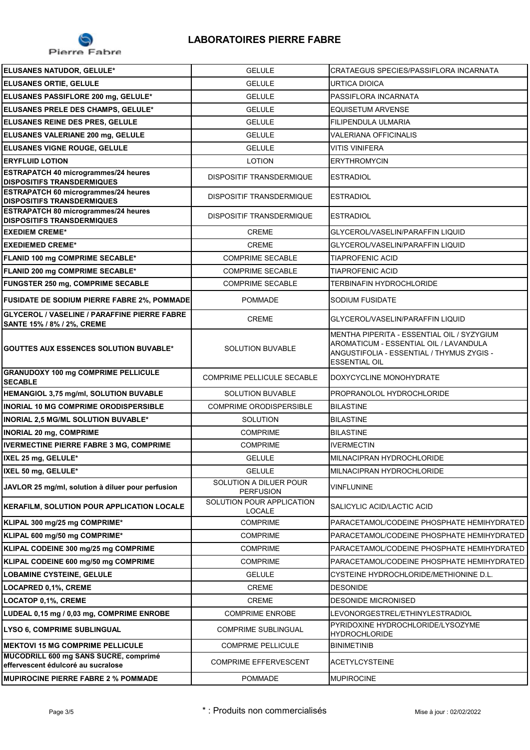

| ELUSANES NATUDOR, GELULE*                                                         | <b>GELULE</b>                              | CRATAEGUS SPECIES/PASSIFLORA INCARNATA                                                                                                                    |
|-----------------------------------------------------------------------------------|--------------------------------------------|-----------------------------------------------------------------------------------------------------------------------------------------------------------|
| <b>ELUSANES ORTIE, GELULE</b>                                                     | <b>GELULE</b>                              | <b>URTICA DIOICA</b>                                                                                                                                      |
| ELUSANES PASSIFLORE 200 mg, GELULE*                                               | <b>GELULE</b>                              | PASSIFLORA INCARNATA                                                                                                                                      |
| ELUSANES PRELE DES CHAMPS, GELULE*                                                | <b>GELULE</b>                              | <b>EQUISETUM ARVENSE</b>                                                                                                                                  |
| ELUSANES REINE DES PRES, GELULE                                                   | <b>GELULE</b>                              | <b>FILIPENDULA ULMARIA</b>                                                                                                                                |
| ELUSANES VALERIANE 200 mg, GELULE                                                 | <b>GELULE</b>                              | VALERIANA OFFICINALIS                                                                                                                                     |
| ELUSANES VIGNE ROUGE, GELULE                                                      | <b>GELULE</b>                              | VITIS VINIFERA                                                                                                                                            |
| <b>ERYFLUID LOTION</b>                                                            | <b>LOTION</b>                              | <b>ERYTHROMYCIN</b>                                                                                                                                       |
| <b>ESTRAPATCH 40 microgrammes/24 heures</b><br><b>DISPOSITIFS TRANSDERMIQUES</b>  | DISPOSITIF TRANSDERMIQUE                   | <b>ESTRADIOL</b>                                                                                                                                          |
| <b>ESTRAPATCH 60 microgrammes/24 heures</b><br><b>DISPOSITIFS TRANSDERMIQUES</b>  | DISPOSITIF TRANSDERMIQUE                   | <b>ESTRADIOL</b>                                                                                                                                          |
| <b>ESTRAPATCH 80 microgrammes/24 heures</b><br><b>DISPOSITIFS TRANSDERMIQUES</b>  | DISPOSITIF TRANSDERMIQUE                   | <b>ESTRADIOL</b>                                                                                                                                          |
| <b>EXEDIEM CREME*</b>                                                             | <b>CREME</b>                               | GLYCEROL/VASELIN/PARAFFIN LIQUID                                                                                                                          |
| <b>EXEDIEMED CREME*</b>                                                           | <b>CREME</b>                               | GLYCEROL/VASELIN/PARAFFIN LIQUID                                                                                                                          |
| FLANID 100 mg COMPRIME SECABLE*                                                   | <b>COMPRIME SECABLE</b>                    | <b>TIAPROFENIC ACID</b>                                                                                                                                   |
| FLANID 200 mg COMPRIME SECABLE*                                                   | <b>COMPRIME SECABLE</b>                    | <b>TIAPROFENIC ACID</b>                                                                                                                                   |
| FUNGSTER 250 mg, COMPRIME SECABLE                                                 | <b>COMPRIME SECABLE</b>                    | TERBINAFIN HYDROCHLORIDE                                                                                                                                  |
| <b>FUSIDATE DE SODIUM PIERRE FABRE 2%, POMMADE</b>                                | <b>POMMADE</b>                             | SODIUM FUSIDATE                                                                                                                                           |
| <b>GLYCEROL / VASELINE / PARAFFINE PIERRE FABRE</b><br>SANTE 15% / 8% / 2%, CREME | <b>CREME</b>                               | GLYCEROL/VASELIN/PARAFFIN LIQUID                                                                                                                          |
| <b>GOUTTES AUX ESSENCES SOLUTION BUVABLE*</b>                                     | <b>SOLUTION BUVABLE</b>                    | MENTHA PIPERITA - ESSENTIAL OIL / SYZYGIUM<br>AROMATICUM - ESSENTIAL OIL / LAVANDULA<br>ANGUSTIFOLIA - ESSENTIAL / THYMUS ZYGIS -<br><b>ESSENTIAL OIL</b> |
| <b>GRANUDOXY 100 mg COMPRIME PELLICULE</b><br><b>SECABLE</b>                      | <b>COMPRIME PELLICULE SECABLE</b>          | DOXYCYCLINE MONOHYDRATE                                                                                                                                   |
| HEMANGIOL 3,75 mg/ml, SOLUTION BUVABLE                                            | <b>SOLUTION BUVABLE</b>                    | PROPRANOLOL HYDROCHLORIDE                                                                                                                                 |
| <b>INORIAL 10 MG COMPRIME ORODISPERSIBLE</b>                                      | <b>COMPRIME ORODISPERSIBLE</b>             | <b>BILASTINE</b>                                                                                                                                          |
| <b>INORIAL 2,5 MG/ML SOLUTION BUVABLE*</b>                                        | <b>SOLUTION</b>                            | <b>BILASTINE</b>                                                                                                                                          |
| <b>INORIAL 20 mg, COMPRIME</b>                                                    | <b>COMPRIME</b>                            | <b>BILASTINE</b>                                                                                                                                          |
| <b>IVERMECTINE PIERRE FABRE 3 MG, COMPRIME</b>                                    | <b>COMPRIME</b>                            | <b>IVERMECTIN</b>                                                                                                                                         |
| IXEL 25 mg, GELULE*                                                               | <b>GELULE</b>                              | MILNACIPRAN HYDROCHLORIDE                                                                                                                                 |
| IXEL 50 mg, GELULE*                                                               | <b>GELULE</b>                              | MILNACIPRAN HYDROCHLORIDE                                                                                                                                 |
| JAVLOR 25 mg/ml, solution à diluer pour perfusion                                 | SOLUTION A DILUER POUR<br><b>PERFUSION</b> | <b>VINFLUNINE</b>                                                                                                                                         |
| KERAFILM, SOLUTION POUR APPLICATION LOCALE                                        | SOLUTION POUR APPLICATION<br>LOCALE        | SALICYLIC ACID/LACTIC ACID                                                                                                                                |
| KLIPAL 300 mg/25 mg COMPRIME*                                                     | <b>COMPRIME</b>                            | PARACETAMOL/CODEINE PHOSPHATE HEMIHYDRATED                                                                                                                |
| KLIPAL 600 mg/50 mg COMPRIME*                                                     | <b>COMPRIME</b>                            | PARACETAMOL/CODEINE PHOSPHATE HEMIHYDRATED                                                                                                                |
| KLIPAL CODEINE 300 mg/25 mg COMPRIME                                              | <b>COMPRIME</b>                            | PARACETAMOL/CODEINE PHOSPHATE HEMIHYDRATED                                                                                                                |
| KLIPAL CODEINE 600 mg/50 mg COMPRIME                                              | <b>COMPRIME</b>                            | PARACETAMOL/CODEINE PHOSPHATE HEMIHYDRATED                                                                                                                |
| <b>LOBAMINE CYSTEINE, GELULE</b>                                                  | <b>GELULE</b>                              | CYSTEINE HYDROCHLORIDE/METHIONINE D.L.                                                                                                                    |
| <b>LOCAPRED 0,1%, CREME</b>                                                       | <b>CREME</b>                               | <b>DESONIDE</b>                                                                                                                                           |
| <b>LOCATOP 0,1%, CREME</b>                                                        | <b>CREME</b>                               | <b>DESONIDE MICRONISED</b>                                                                                                                                |
| LUDEAL 0,15 mg / 0,03 mg, COMPRIME ENROBE                                         | <b>COMPRIME ENROBE</b>                     | LEVONORGESTREL/ETHINYLESTRADIOL                                                                                                                           |
| <b>LYSO 6, COMPRIME SUBLINGUAL</b>                                                | <b>COMPRIME SUBLINGUAL</b>                 | PYRIDOXINE HYDROCHLORIDE/LYSOZYME<br><b>HYDROCHLORIDE</b>                                                                                                 |
| <b>MEKTOVI 15 MG COMPRIME PELLICULE</b>                                           | <b>COMPRME PELLICULE</b>                   | <b>BINIMETINIB</b>                                                                                                                                        |
| MUCODRILL 600 mg SANS SUCRE, comprimé<br>effervescent édulcoré au sucralose       | <b>COMPRIME EFFERVESCENT</b>               | <b>ACETYLCYSTEINE</b>                                                                                                                                     |
| MUPIROCINE PIERRE FABRE 2 % POMMADE                                               | POMMADE                                    | <b>MUPIROCINE</b>                                                                                                                                         |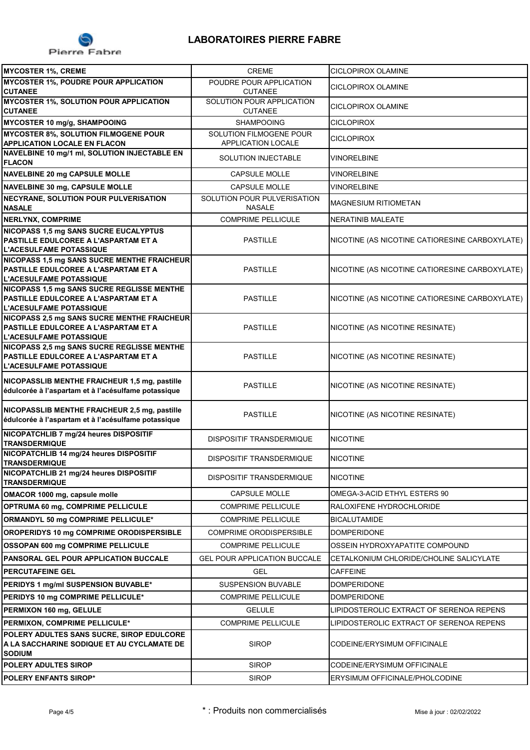

| <b>MYCOSTER 1%, CREME</b>                                                                                | <b>CREME</b>                                  | <b>CICLOPIROX OLAMINE</b>                      |
|----------------------------------------------------------------------------------------------------------|-----------------------------------------------|------------------------------------------------|
| <b>MYCOSTER 1%, POUDRE POUR APPLICATION</b><br><b>CUTANEE</b>                                            | POUDRE POUR APPLICATION<br><b>CUTANEE</b>     | <b>CICLOPIROX OLAMINE</b>                      |
| <b>MYCOSTER 1%, SOLUTION POUR APPLICATION</b><br><b>CUTANEE</b>                                          | SOLUTION POUR APPLICATION<br><b>CUTANEE</b>   | CICLOPIROX OLAMINE                             |
| MYCOSTER 10 mg/g, SHAMPOOING                                                                             | <b>SHAMPOOING</b>                             | <b>CICLOPIROX</b>                              |
| MYCOSTER 8%, SOLUTION FILMOGENE POUR<br><b>APPLICATION LOCALE EN FLACON</b>                              | SOLUTION FILMOGENE POUR<br>APPLICATION LOCALE | <b>CICLOPIROX</b>                              |
| NAVELBINE 10 mg/1 ml, SOLUTION INJECTABLE EN<br><b>FLACON</b>                                            | <b>SOLUTION INJECTABLE</b>                    | VINORELBINE                                    |
| NAVELBINE 20 mg CAPSULE MOLLE                                                                            | <b>CAPSULE MOLLE</b>                          | <b>VINORELBINE</b>                             |
| NAVELBINE 30 mg, CAPSULE MOLLE                                                                           | <b>CAPSULE MOLLE</b>                          | <b>VINORELBINE</b>                             |
| NECYRANE, SOLUTION POUR PULVERISATION<br><b>NASALE</b>                                                   | SOLUTION POUR PULVERISATION<br><b>NASALE</b>  | <b>MAGNESIUM RITIOMETAN</b>                    |
| <b>NERLYNX, COMPRIME</b>                                                                                 | <b>COMPRIME PELLICULE</b>                     | <b>NERATINIB MALEATE</b>                       |
| NICOPASS 1,5 mg SANS SUCRE EUCALYPTUS                                                                    |                                               |                                                |
| PASTILLE EDULCOREE A L'ASPARTAM ET A<br>L'ACESULFAME POTASSIQUE                                          | <b>PASTILLE</b>                               | NICOTINE (AS NICOTINE CATIORESINE CARBOXYLATE) |
| NICOPASS 1,5 mg SANS SUCRE MENTHE FRAICHEUR                                                              |                                               |                                                |
| PASTILLE EDULCOREE A L'ASPARTAM ET A                                                                     | <b>PASTILLE</b>                               | NICOTINE (AS NICOTINE CATIORESINE CARBOXYLATE) |
| L'ACESULFAME POTASSIQUE<br>NICOPASS 1,5 mg SANS SUCRE REGLISSE MENTHE                                    |                                               |                                                |
| PASTILLE EDULCOREE A L'ASPARTAM ET A<br><b>L'ACESULFAME POTASSIQUE</b>                                   | <b>PASTILLE</b>                               | NICOTINE (AS NICOTINE CATIORESINE CARBOXYLATE) |
| NICOPASS 2,5 mg SANS SUCRE MENTHE FRAICHEUR                                                              |                                               |                                                |
| PASTILLE EDULCOREE A L'ASPARTAM ET A<br>L'ACESULFAME POTASSIQUE                                          | <b>PASTILLE</b>                               | NICOTINE (AS NICOTINE RESINATE)                |
| NICOPASS 2,5 mg SANS SUCRE REGLISSE MENTHE                                                               |                                               |                                                |
| PASTILLE EDULCOREE A L'ASPARTAM ET A                                                                     | <b>PASTILLE</b>                               | NICOTINE (AS NICOTINE RESINATE)                |
| L'ACESULFAME POTASSIQUE                                                                                  |                                               |                                                |
| NICOPASSLIB MENTHE FRAICHEUR 1,5 mg, pastille<br>édulcorée à l'aspartam et à l'acésulfame potassique     | <b>PASTILLE</b>                               | NICOTINE (AS NICOTINE RESINATE)                |
| NICOPASSLIB MENTHE FRAICHEUR 2,5 mg, pastille<br>édulcorée à l'aspartam et à l'acésulfame potassique     | <b>PASTILLE</b>                               | NICOTINE (AS NICOTINE RESINATE)                |
| NICOPATCHLIB 7 mg/24 heures DISPOSITIF<br><b>TRANSDERMIQUE</b>                                           | <b>DISPOSITIF TRANSDERMIQUE</b>               | <b>NICOTINE</b>                                |
| NICOPATCHLIB 14 mg/24 heures DISPOSITIF<br><b>TRANSDERMIQUE</b>                                          | DISPOSITIF TRANSDERMIQUE                      | <b>NICOTINE</b>                                |
| NICOPATCHLIB 21 mg/24 heures DISPOSITIF<br><b>TRANSDERMIQUE</b>                                          | DISPOSITIF TRANSDERMIQUE                      | <b>NICOTINE</b>                                |
| OMACOR 1000 mg, capsule molle                                                                            | <b>CAPSULE MOLLE</b>                          | OMEGA-3-ACID ETHYL ESTERS 90                   |
| <b>OPTRUMA 60 mg, COMPRIME PELLICULE</b>                                                                 | <b>COMPRIME PELLICULE</b>                     | RALOXIFENE HYDROCHLORIDE                       |
| ORMANDYL 50 mg COMPRIME PELLICULE*                                                                       | <b>COMPRIME PELLICULE</b>                     | <b>BICALUTAMIDE</b>                            |
| <b>OROPERIDYS 10 mg COMPRIME ORODISPERSIBLE</b>                                                          | <b>COMPRIME ORODISPERSIBLE</b>                | <b>DOMPERIDONE</b>                             |
| <b>OSSOPAN 600 mg COMPRIME PELLICULE</b>                                                                 | <b>COMPRIME PELLICULE</b>                     | OSSEIN HYDROXYAPATITE COMPOUND                 |
| <b>PANSORAL GEL POUR APPLICATION BUCCALE</b>                                                             | <b>GEL POUR APPLICATION BUCCALE</b>           | CETALKONIUM CHLORIDE/CHOLINE SALICYLATE        |
| <b>IPERCUTAFEINE GEL</b>                                                                                 | GEL                                           | <b>CAFFEINE</b>                                |
| PERIDYS 1 mg/ml SUSPENSION BUVABLE*                                                                      | <b>SUSPENSION BUVABLE</b>                     | <b>DOMPERIDONE</b>                             |
| PERIDYS 10 mg COMPRIME PELLICULE*                                                                        | <b>COMPRIME PELLICULE</b>                     | <b>DOMPERIDONE</b>                             |
| PERMIXON 160 mg, GELULE                                                                                  | <b>GELULE</b>                                 | LIPIDOSTEROLIC EXTRACT OF SERENOA REPENS       |
| <b>PERMIXON, COMPRIME PELLICULE*</b>                                                                     | <b>COMPRIME PELLICULE</b>                     | LIPIDOSTEROLIC EXTRACT OF SERENOA REPENS       |
| POLERY ADULTES SANS SUCRE, SIROP EDULCORE<br>A LA SACCHARINE SODIQUE ET AU CYCLAMATE DE<br><b>SODIUM</b> | <b>SIROP</b>                                  | CODEINE/ERYSIMUM OFFICINALE                    |
| <b>POLERY ADULTES SIROP</b>                                                                              | <b>SIROP</b>                                  | CODEINE/ERYSIMUM OFFICINALE                    |
| <b>POLERY ENFANTS SIROP*</b>                                                                             | <b>SIROP</b>                                  | ERYSIMUM OFFICINALE/PHOLCODINE                 |
|                                                                                                          |                                               |                                                |